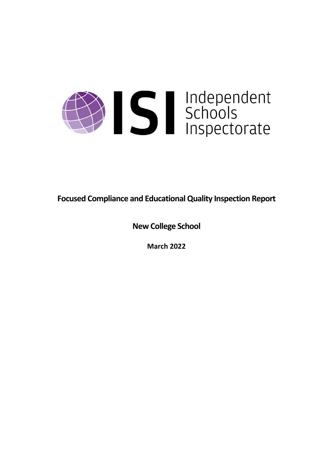

**Focused Compliance and EducationalQuality Inspection Report**

**New College School**

**March 2022**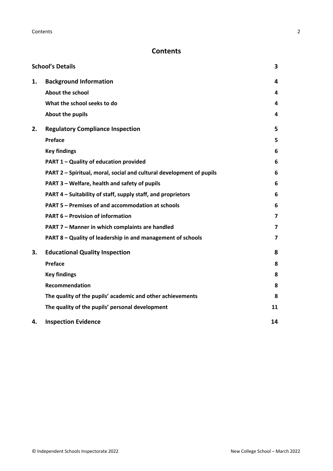# **Contents**

|    | <b>School's Details</b>                                              | 3  |
|----|----------------------------------------------------------------------|----|
| 1. | <b>Background Information</b>                                        | 4  |
|    | <b>About the school</b>                                              | 4  |
|    | What the school seeks to do                                          | 4  |
|    | About the pupils                                                     | 4  |
| 2. | <b>Regulatory Compliance Inspection</b>                              | 5  |
|    | Preface                                                              | 5  |
|    | <b>Key findings</b>                                                  | 6  |
|    | PART 1 - Quality of education provided                               | 6  |
|    | PART 2 - Spiritual, moral, social and cultural development of pupils | 6  |
|    | PART 3 - Welfare, health and safety of pupils                        | 6  |
|    | PART 4 – Suitability of staff, supply staff, and proprietors         | 6  |
|    | PART 5 - Premises of and accommodation at schools                    | 6  |
|    | <b>PART 6 - Provision of information</b>                             | 7  |
|    | PART 7 - Manner in which complaints are handled                      | 7  |
|    | PART 8 - Quality of leadership in and management of schools          | 7  |
| 3. | <b>Educational Quality Inspection</b>                                | 8  |
|    | Preface                                                              | 8  |
|    | <b>Key findings</b>                                                  | 8  |
|    | <b>Recommendation</b>                                                | 8  |
|    | The quality of the pupils' academic and other achievements           | 8  |
|    | The quality of the pupils' personal development                      | 11 |
| 4. | <b>Inspection Evidence</b>                                           | 14 |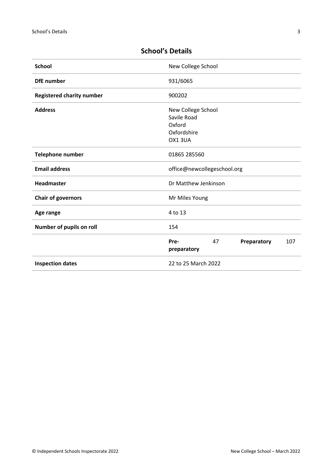| <b>School</b>                    | New College School                              |
|----------------------------------|-------------------------------------------------|
| <b>DfE</b> number                | 931/6065                                        |
| <b>Registered charity number</b> | 900202                                          |
| <b>Address</b>                   | New College School                              |
|                                  | Savile Road                                     |
|                                  | Oxford                                          |
|                                  | Oxfordshire                                     |
|                                  | OX13UA                                          |
| <b>Telephone number</b>          | 01865 285560                                    |
| <b>Email address</b>             | office@newcollegeschool.org                     |
| <b>Headmaster</b>                | Dr Matthew Jenkinson                            |
| <b>Chair of governors</b>        | Mr Miles Young                                  |
| Age range                        | 4 to 13                                         |
| Number of pupils on roll         | 154                                             |
|                                  | 47<br>Preparatory<br>107<br>Pre-<br>preparatory |
| <b>Inspection dates</b>          | 22 to 25 March 2022                             |

# <span id="page-2-0"></span>**School's Details**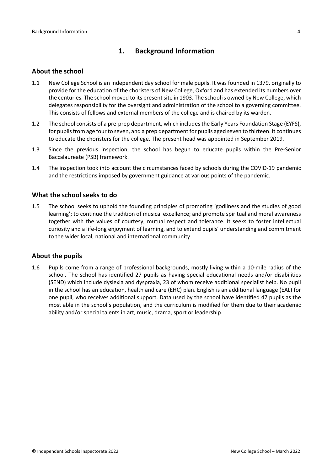## <span id="page-3-0"></span>**1. Background Information**

### <span id="page-3-1"></span>**About the school**

- 1.1 New College School is an independent day school for male pupils. It was founded in 1379, originally to provide for the education of the choristers of New College, Oxford and has extended its numbers over the centuries. The school moved to its present site in 1903. The school is owned by New College, which delegates responsibility for the oversight and administration of the school to a governing committee. This consists of fellows and external members of the college and is chaired by its warden.
- 1.2 The school consists of a pre-prep department, which includes the Early Years Foundation Stage (EYFS), for pupils from age four to seven, and a prep department for pupils aged seven to thirteen. It continues to educate the choristers for the college. The present head was appointed in September 2019.
- 1.3 Since the previous inspection, the school has begun to educate pupils within the Pre-Senior Baccalaureate (PSB) framework.
- 1.4 The inspection took into account the circumstances faced by schools during the COVID-19 pandemic and the restrictions imposed by government guidance at various points of the pandemic.

### <span id="page-3-2"></span>**What the school seeks to do**

1.5 The school seeks to uphold the founding principles of promoting 'godliness and the studies of good learning'; to continue the tradition of musical excellence; and promote spiritual and moral awareness together with the values of courtesy, mutual respect and tolerance. It seeks to foster intellectual curiosity and a life-long enjoyment of learning, and to extend pupils' understanding and commitment to the wider local, national and international community.

#### <span id="page-3-3"></span>**About the pupils**

1.6 Pupils come from a range of professional backgrounds, mostly living within a 10-mile radius of the school. The school has identified 27 pupils as having special educational needs and/or disabilities (SEND) which include dyslexia and dyspraxia, 23 of whom receive additional specialist help. No pupil in the school has an education, health and care (EHC) plan. English is an additional language (EAL) for one pupil, who receives additional support. Data used by the school have identified 47 pupils as the most able in the school's population, and the curriculum is modified for them due to their academic ability and/or special talents in art, music, drama, sport or leadership.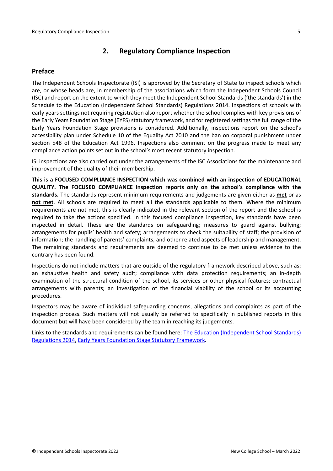## <span id="page-4-0"></span>**2. Regulatory Compliance Inspection**

## <span id="page-4-1"></span>**Preface**

The Independent Schools Inspectorate (ISI) is approved by the Secretary of State to inspect schools which are, or whose heads are, in membership of the associations which form the Independent Schools Council (ISC) and report on the extent to which they meet the Independent School Standards ('the standards') in the Schedule to the Education (Independent School Standards) Regulations 2014. Inspections of schools with early years settings not requiring registration also report whether the school complies with key provisions of the Early Years Foundation Stage (EYFS) statutory framework, and for registered settings the full range of the Early Years Foundation Stage provisions is considered. Additionally, inspections report on the school's accessibility plan under Schedule 10 of the Equality Act 2010 and the ban on corporal punishment under section 548 of the Education Act 1996. Inspections also comment on the progress made to meet any compliance action points set out in the school's most recent statutory inspection.

ISI inspections are also carried out under the arrangements of the ISC Associations for the maintenance and improvement of the quality of their membership.

**This is a FOCUSED COMPLIANCE INSPECTION which was combined with an inspection of EDUCATIONAL QUALITY. The FOCUSED COMPLIANCE inspection reports only on the school's compliance with the standards.** The standards represent minimum requirements and judgements are given either as **met** or as **not met**. All schools are required to meet all the standards applicable to them. Where the minimum requirements are not met, this is clearly indicated in the relevant section of the report and the school is required to take the actions specified. In this focused compliance inspection, key standards have been inspected in detail. These are the standards on safeguarding; measures to guard against bullying; arrangements for pupils' health and safety; arrangements to check the suitability of staff; the provision of information; the handling of parents' complaints; and other related aspects of leadership and management. The remaining standards and requirements are deemed to continue to be met unless evidence to the contrary has been found.

Inspections do not include matters that are outside of the regulatory framework described above, such as: an exhaustive health and safety audit; compliance with data protection requirements; an in-depth examination of the structural condition of the school, its services or other physical features; contractual arrangements with parents; an investigation of the financial viability of the school or its accounting procedures.

Inspectors may be aware of individual safeguarding concerns, allegations and complaints as part of the inspection process. Such matters will not usually be referred to specifically in published reports in this document but will have been considered by the team in reaching its judgements.

Links to the standards and requirements can be found here: The Education [\(Independent](http://www.legislation.gov.uk/uksi/2014/3283/contents/made) School Standards) [Regulations](http://www.legislation.gov.uk/uksi/2014/3283/contents/made) 2014, Early Years Foundation Stage Statutory [Framework.](https://www.gov.uk/government/publications/early-years-foundation-stage-framework--2)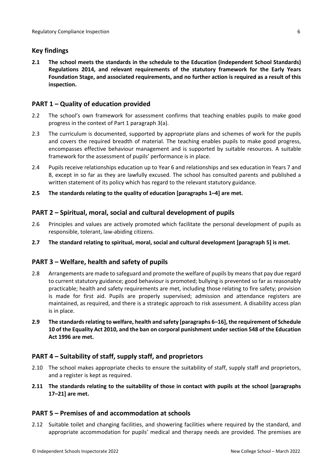## <span id="page-5-0"></span>**Key findings**

**2.1 The school meets the standards in the schedule to the Education (Independent School Standards) Regulations 2014, and relevant requirements of the statutory framework for the Early Years Foundation Stage, and associated requirements, and no further action is required as a result of this inspection.**

## <span id="page-5-1"></span>**PART 1 – Quality of education provided**

- 2.2 The school's own framework for assessment confirms that teaching enables pupils to make good progress in the context of Part 1 paragraph 3(a).
- 2.3 The curriculum is documented, supported by appropriate plans and schemes of work for the pupils and covers the required breadth of material. The teaching enables pupils to make good progress, encompasses effective behaviour management and is supported by suitable resources. A suitable framework for the assessment of pupils' performance is in place.
- 2.4 Pupils receive relationships education up to Year 6 and relationships and sex education in Years 7 and 8, except in so far as they are lawfully excused. The school has consulted parents and published a written statement of its policy which has regard to the relevant statutory guidance.
- **2.5 The standards relating to the quality of education [paragraphs 1–4] are met.**

## <span id="page-5-2"></span>**PART 2 – Spiritual, moral, social and cultural development of pupils**

- 2.6 Principles and values are actively promoted which facilitate the personal development of pupils as responsible, tolerant, law-abiding citizens.
- **2.7 The standard relating to spiritual, moral, social and cultural development [paragraph 5] is met.**

## <span id="page-5-3"></span>**PART 3 – Welfare, health and safety of pupils**

- 2.8 Arrangements are made to safeguard and promote the welfare of pupils by means that pay due regard to current statutory guidance; good behaviour is promoted; bullying is prevented so far as reasonably practicable; health and safety requirements are met, including those relating to fire safety; provision is made for first aid. Pupils are properly supervised; admission and attendance registers are maintained, as required, and there is a strategic approach to risk assessment. A disability access plan is in place.
- **2.9 The standardsrelating to welfare, health and safety [paragraphs 6–16], the requirement of Schedule 10 of the Equality Act 2010, and the ban on corporal punishment undersection 548 of the Education Act 1996 are met.**

## <span id="page-5-4"></span>**PART 4 – Suitability of staff, supply staff, and proprietors**

- 2.10 The school makes appropriate checks to ensure the suitability of staff, supply staff and proprietors, and a register is kept as required.
- **2.11 The standards relating to the suitability of those in contact with pupils at the school [paragraphs 17–21] are met.**

## <span id="page-5-5"></span>**PART 5 – Premises of and accommodation at schools**

2.12 Suitable toilet and changing facilities, and showering facilities where required by the standard, and appropriate accommodation for pupils' medical and therapy needs are provided. The premises are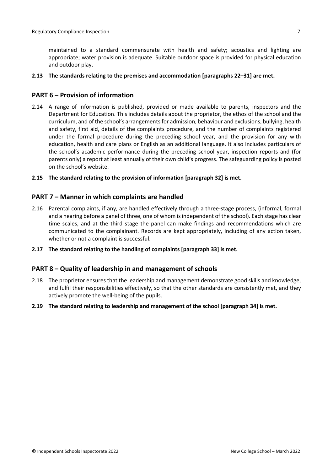maintained to a standard commensurate with health and safety; acoustics and lighting are appropriate; water provision is adequate. Suitable outdoor space is provided for physical education and outdoor play.

#### **2.13 The standards relating to the premises and accommodation [paragraphs 22–31] are met.**

### <span id="page-6-0"></span>**PART 6 – Provision of information**

2.14 A range of information is published, provided or made available to parents, inspectors and the Department for Education. This includes details about the proprietor, the ethos of the school and the curriculum, and of the school's arrangementsfor admission, behaviour and exclusions, bullying, health and safety, first aid, details of the complaints procedure, and the number of complaints registered under the formal procedure during the preceding school year, and the provision for any with education, health and care plans or English as an additional language. It also includes particulars of the school's academic performance during the preceding school year, inspection reports and (for parents only) a report at least annually of their own child's progress. The safeguarding policy is posted on the school's website.

#### **2.15 The standard relating to the provision of information [paragraph 32] is met.**

### <span id="page-6-1"></span>**PART 7 – Manner in which complaints are handled**

- 2.16 Parental complaints, if any, are handled effectively through a three-stage process, (informal, formal and a hearing before a panel of three, one of whom is independent of the school). Each stage has clear time scales, and at the third stage the panel can make findings and recommendations which are communicated to the complainant. Records are kept appropriately, including of any action taken, whether or not a complaint is successful.
- **2.17 The standard relating to the handling of complaints [paragraph 33] is met.**

### <span id="page-6-2"></span>**PART 8 – Quality of leadership in and management of schools**

- 2.18 The proprietor ensures that the leadership and management demonstrate good skills and knowledge, and fulfil their responsibilities effectively, so that the other standards are consistently met, and they actively promote the well-being of the pupils.
- **2.19 The standard relating to leadership and management of the school [paragraph 34] is met.**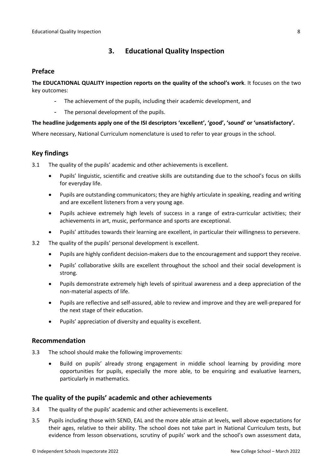## <span id="page-7-0"></span>**3. Educational Quality Inspection**

### <span id="page-7-1"></span>**Preface**

**The EDUCATIONAL QUALITY inspection reports on the quality of the school's work**. It focuses on the two key outcomes:

- The achievement of the pupils, including their academic development, and
- The personal development of the pupils.

### **The headline judgements apply one of the ISI descriptors 'excellent', 'good', 'sound' or 'unsatisfactory'.**

Where necessary, National Curriculum nomenclature is used to refer to year groups in the school.

## <span id="page-7-2"></span>**Key findings**

3.1 The quality of the pupils' academic and other achievements is excellent.

- Pupils' linguistic, scientific and creative skills are outstanding due to the school's focus on skills for everyday life.
- Pupils are outstanding communicators; they are highly articulate in speaking, reading and writing and are excellent listeners from a very young age.
- Pupils achieve extremely high levels of success in a range of extra-curricular activities; their achievements in art, music, performance and sports are exceptional.
- Pupils' attitudes towards their learning are excellent, in particular their willingness to persevere.
- 3.2 The quality of the pupils' personal development is excellent.
	- Pupils are highly confident decision-makers due to the encouragement and support they receive.
	- Pupils' collaborative skills are excellent throughout the school and their social development is strong.
	- Pupils demonstrate extremely high levels of spiritual awareness and a deep appreciation of the non-material aspects of life.
	- Pupils are reflective and self-assured, able to review and improve and they are well-prepared for the next stage of their education.
	- Pupils' appreciation of diversity and equality is excellent.

### <span id="page-7-3"></span>**Recommendation**

- 3.3 The school should make the following improvements:
	- Build on pupils' already strong engagement in middle school learning by providing more opportunities for pupils, especially the more able, to be enquiring and evaluative learners, particularly in mathematics.

### <span id="page-7-4"></span>**The quality of the pupils' academic and other achievements**

- 3.4 The quality of the pupils' academic and other achievements is excellent.
- 3.5 Pupils including those with SEND, EAL and the more able attain at levels, well above expectations for their ages, relative to their ability. The school does not take part in National Curriculum tests, but evidence from lesson observations, scrutiny of pupils' work and the school's own assessment data,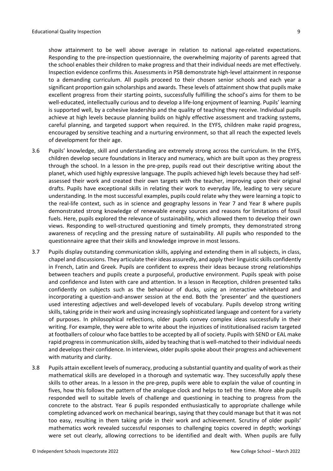show attainment to be well above average in relation to national age-related expectations. Responding to the pre-inspection questionnaire, the overwhelming majority of parents agreed that the school enables their children to make progress and that their individual needs are met effectively. Inspection evidence confirms this. Assessments in PSB demonstrate high-level attainment in response to a demanding curriculum. All pupils proceed to their chosen senior schools and each year a significant proportion gain scholarships and awards. These levels of attainment show that pupils make excellent progress from their starting points, successfully fulfilling the school's aims for them to be well-educated, intellectually curious and to develop a life-long enjoyment of learning. Pupils' learning is supported well, by a cohesive leadership and the quality of teaching they receive. Individual pupils achieve at high levels because planning builds on highly effective assessment and tracking systems, careful planning, and targeted support when required. In the EYFS, children make rapid progress, encouraged by sensitive teaching and a nurturing environment, so that all reach the expected levels of development for their age.

- 3.6 Pupils' knowledge, skill and understanding are extremely strong across the curriculum. In the EYFS, children develop secure foundations in literacy and numeracy, which are built upon as they progress through the school. In a lesson in the pre-prep, pupils read out their descriptive writing about the planet, which used highly expressive language. The pupils achieved high levels because they had selfassessed their work and created their own targets with the teacher, improving upon their original drafts. Pupils have exceptional skills in relating their work to everyday life, leading to very secure understanding. In the most successful examples, pupils could relate why they were learning a topic to the real-life context, such as in science and geography lessons in Year 7 and Year 8 where pupils demonstrated strong knowledge of renewable energy sources and reasons for limitations of fossil fuels. Here, pupils explored the relevance of sustainability, which allowed them to develop their own views. Responding to well-structured questioning and timely prompts, they demonstrated strong awareness of recycling and the pressing nature of sustainability. All pupils who responded to the questionnaire agree that their skills and knowledge improve in most lessons.
- 3.7 Pupils display outstanding communication skills, applying and extending them in all subjects, in class, chapel and discussions. They articulate their ideas assuredly, and apply their linguistic skills confidently in French, Latin and Greek. Pupils are confident to express their ideas because strong relationships between teachers and pupils create a purposeful, productive environment. Pupils speak with poise and confidence and listen with care and attention. In a lesson in Reception, children presented talks confidently on subjects such as the behaviour of ducks, using an interactive whiteboard and incorporating a question-and-answer session at the end. Both the 'presenter' and the questioners used interesting adjectives and well-developed levels of vocabulary. Pupils develop strong writing skills, taking pride in their work and using increasingly sophisticated language and content for a variety of purposes. In philosophical reflections, older pupils convey complex ideas successfully in their writing. For example, they were able to write about the injustices of institutionalised racism targeted at footballers of colour who face battles to be accepted by all of society. Pupils with SEND or EAL make rapid progress in communication skills, aided by teaching that is well-matched to their individual needs and develops their confidence. In interviews, older pupils spoke about their progress and achievement with maturity and clarity.
- 3.8 Pupils attain excellent levels of numeracy, producing a substantial quantity and quality of work astheir mathematical skills are developed in a thorough and systematic way. They successfully apply these skills to other areas. In a lesson in the pre-prep, pupils were able to explain the value of counting in fives, how this follows the pattern of the analogue clock and helps to tell the time. More able pupils responded well to suitable levels of challenge and questioning in teaching to progress from the concrete to the abstract. Year 6 pupils responded enthusiastically to appropriate challenge while completing advanced work on mechanical bearings, saying that they could manage but that it was not too easy, resulting in them taking pride in their work and achievement. Scrutiny of older pupils' mathematics work revealed successful responses to challenging topics covered in depth; workings were set out clearly, allowing corrections to be identified and dealt with. When pupils are fully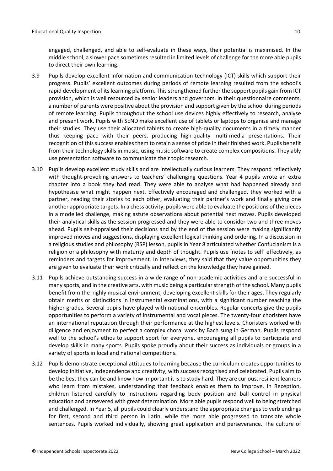engaged, challenged, and able to self-evaluate in these ways, their potential is maximised. In the middle school, a slower pace sometimes resulted in limited levels of challenge for the more able pupils to direct their own learning.

- 3.9 Pupils develop excellent information and communication technology (ICT) skills which support their progress. Pupils' excellent outcomes during periods of remote learning resulted from the school's rapid development of its learning platform. This strengthened further the support pupils gain from ICT provision, which is well resourced by senior leaders and governors. In their questionnaire comments, a number of parents were positive about the provision and support given by the school during periods of remote learning. Pupils throughout the school use devices highly effectively to research, analyse and present work. Pupils with SEND make excellent use of tablets or laptops to organise and manage their studies. They use their allocated tablets to create high-quality documents in a timely manner thus keeping pace with their peers, producing high-quality multi-media presentations. Their recognition of this success enables them to retain a sense of pride in their finished work. Pupils benefit from their technology skills in music, using music software to create complex compositions. They ably use presentation software to communicate their topic research.
- 3.10 Pupils develop excellent study skills and are intellectually curious learners. They respond reflectively with thought-provoking answers to teachers' challenging questions. Year 4 pupils wrote an extra chapter into a book they had read. They were able to analyse what had happened already and hypothesise what might happen next. Effectively encouraged and challenged, they worked with a partner, reading their stories to each other, evaluating their partner's work and finally giving one another appropriate targets. In a chess activity, pupils were able to evaluate the positions of the pieces in a modelled challenge, making astute observations about potential next moves. Pupils developed their analytical skills as the session progressed and they were able to consider two and three moves ahead. Pupils self-appraised their decisions and by the end of the session were making significantly improved moves and suggestions, displaying excellent logical thinking and ordering. In a discussion in a religious studies and philosophy (RSP) lesson, pupils in Year 8 articulated whether Confucianism is a religion or a philosophy with maturity and depth of thought. Pupils use 'notes to self' effectively, as reminders and targets for improvement. In interviews, they said that they value opportunities they are given to evaluate their work critically and reflect on the knowledge they have gained.
- 3.11 Pupils achieve outstanding success in a wide range of non-academic activities and are successful in many sports, and in the creative arts, with music being a particular strength of the school. Many pupils benefit from the highly musical environment, developing excellent skills for their ages. They regularly obtain merits or distinctions in instrumental examinations, with a significant number reaching the higher grades. Several pupils have played with national ensembles. Regular concerts give the pupils opportunities to perform a variety of instrumental and vocal pieces. The twenty-four choristers have an international reputation through their performance at the highest levels. Choristers worked with diligence and enjoyment to perfect a complex choral work by Bach sung in German. Pupils respond well to the school's ethos to support sport for everyone, encouraging all pupils to participate and develop skills in many sports. Pupils spoke proudly about their success as individuals or groups in a variety of sports in local and national competitions.
- 3.12 Pupils demonstrate exceptional attitudes to learning because the curriculum creates opportunities to develop initiative, independence and creativity, with success recognised and celebrated. Pupils aim to be the best they can be and know how important it isto study hard. They are curious, resilient learners who learn from mistakes, understanding that feedback enables them to improve. In Reception, children listened carefully to instructions regarding body position and ball control in physical education and persevered with great determination. More able pupils respond well to being stretched and challenged. In Year 5, all pupils could clearly understand the appropriate changes to verb endings for first, second and third person in Latin, while the more able progressed to translate whole sentences. Pupils worked individually, showing great application and perseverance. The culture of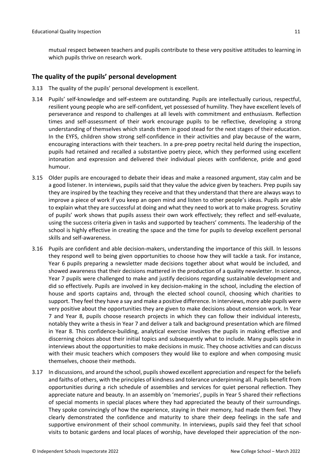mutual respect between teachers and pupils contribute to these very positive attitudes to learning in which pupils thrive on research work.

### <span id="page-10-0"></span>**The quality of the pupils' personal development**

- 3.13 The quality of the pupils' personal development is excellent.
- 3.14 Pupils' self-knowledge and self-esteem are outstanding. Pupils are intellectually curious, respectful, resilient young people who are self-confident, yet possessed of humility. They have excellent levels of perseverance and respond to challenges at all levels with commitment and enthusiasm. Reflection times and self-assessment of their work encourage pupils to be reflective, developing a strong understanding of themselves which stands them in good stead for the next stages of their education. In the EYFS, children show strong self-confidence in their activities and play because of the warm, encouraging interactions with their teachers. In a pre-prep poetry recital held during the inspection, pupils had retained and recalled a substantive poetry piece, which they performed using excellent intonation and expression and delivered their individual pieces with confidence, pride and good humour.
- 3.15 Older pupils are encouraged to debate their ideas and make a reasoned argument, stay calm and be a good listener. In interviews, pupils said that they value the advice given by teachers. Prep pupils say they are inspired by the teaching they receive and that they understand that there are always ways to improve a piece of work if you keep an open mind and listen to other people's ideas. Pupils are able to explain what they are successful at doing and what they need to work at to make progress. Scrutiny of pupils' work shows that pupils assess their own work effectively; they reflect and self-evaluate, using the success criteria given in tasks and supported by teachers' comments. The leadership of the school is highly effective in creating the space and the time for pupils to develop excellent personal skills and self-awareness.
- 3.16 Pupils are confident and able decision-makers, understanding the importance of this skill. In lessons they respond well to being given opportunities to choose how they will tackle a task. For instance, Year 6 pupils preparing a newsletter made decisions together about what would be included, and showed awareness that their decisions mattered in the production of a quality newsletter. In science, Year 7 pupils were challenged to make and justify decisions regarding sustainable development and did so effectively. Pupils are involved in key decision-making in the school, including the election of house and sports captains and, through the elected school council, choosing which charities to support. They feel they have a say and make a positive difference. In interviews, more able pupils were very positive about the opportunities they are given to make decisions about extension work. In Year 7 and Year 8, pupils choose research projects in which they can follow their individual interests, notably they write a thesis in Year 7 and deliver a talk and background presentation which are filmed in Year 8. This confidence-building, analytical exercise involves the pupils in making effective and discerning choices about their initial topics and subsequently what to include. Many pupils spoke in interviews about the opportunities to make decisions in music. They choose activities and can discuss with their music teachers which composers they would like to explore and when composing music themselves, choose their methods.
- 3.17 In discussions, and around the school, pupils showed excellent appreciation and respect for the beliefs and faiths of others, with the principles of kindness and tolerance underpinning all. Pupils benefit from opportunities during a rich schedule of assemblies and services for quiet personal reflection. They appreciate nature and beauty. In an assembly on 'memories', pupils in Year 5 shared their reflections of special moments in special places where they had appreciated the beauty of their surroundings. They spoke convincingly of how the experience, staying in their memory, had made them feel. They clearly demonstrated the confidence and maturity to share their deep feelings in the safe and supportive environment of their school community. In interviews, pupils said they feel that school visits to botanic gardens and local places of worship, have developed their appreciation of the non-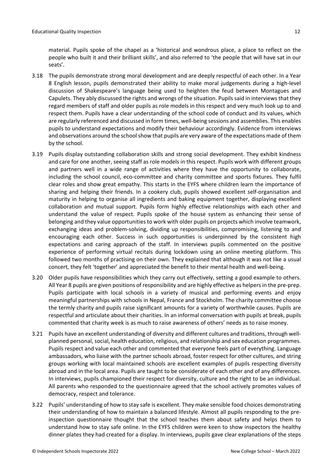material. Pupils spoke of the chapel as a 'historical and wondrous place, a place to reflect on the people who built it and their brilliant skills', and also referred to 'the people that will have sat in our seats'.

- 3.18 The pupils demonstrate strong moral development and are deeply respectful of each other. In a Year 8 English lesson, pupils demonstrated their ability to make moral judgements during a high-level discussion of Shakespeare's language being used to heighten the feud between Montagues and Capulets. They ably discussed the rights and wrongs of the situation. Pupils said in interviews that they regard members of staff and older pupils as role models in this respect and very much look up to and respect them. Pupils have a clear understanding of the school code of conduct and its values, which are regularly referenced and discussed in form times, well-being sessions and assemblies. This enables pupils to understand expectations and modify their behaviour accordingly. Evidence from interviews and observations around the school show that pupils are very aware of the expectations made of them by the school.
- 3.19 Pupils display outstanding collaboration skills and strong social development. They exhibit kindness and care for one another, seeing staff as role models in this respect. Pupils work with different groups and partners well in a wide range of activities where they have the opportunity to collaborate, including the school council, eco-committee and charity committee and sports fixtures. They fulfil clear roles and show great empathy. This starts in the EYFS where children learn the importance of sharing and helping their friends. In a cookery club, pupils showed excellent self-organisation and maturity in helping to organise all ingredients and baking equipment together, displaying excellent collaboration and mutual support. Pupils form highly effective relationships with each other and understand the value of respect. Pupils spoke of the house system as enhancing their sense of belonging and they value opportunities to work with older pupils on projects which involve teamwork, exchanging ideas and problem-solving, dividing up responsibilities, compromising, listening to and encouraging each other. Success in such opportunities is underpinned by the consistent high expectations and caring approach of the staff. In interviews pupils commented on the positive experience of performing virtual recitals during lockdown using an online meeting platform. This followed two months of practising on their own. They explained that although it was not like a usual concert, they felt 'together' and appreciated the benefit to their mental health and well-being.
- 3.20 Older pupils have responsibilities which they carry out effectively, setting a good example to others. All Year 8 pupils are given positions of responsibility and are highly effective as helpersin the pre-prep. Pupils participate with local schools in a variety of musical and performing events and enjoy meaningful partnerships with schools in Nepal, France and Stockholm. The charity committee choose the termly charity and pupils raise significant amounts for a variety of worthwhile causes. Pupils are respectful and articulate about their charities. In an informal conversation with pupils at break, pupils commented that charity week is as much to raise awareness of others' needs as to raise money.
- 3.21 Pupils have an excellent understanding of diversity and different cultures and traditions, through wellplanned personal, social, health education, religious, and relationship and sex education programmes. Pupils respect and value each other and commented that everyone feels part of everything. Language ambassadors, who liaise with the partner schools abroad, foster respect for other cultures, and string groups working with local maintained schools are excellent examples of pupils respecting diversity abroad and in the local area. Pupils are taught to be considerate of each other and of any differences. In interviews, pupils championed their respect for diversity, culture and the right to be an individual. All parents who responded to the questionnaire agreed that the school actively promotes values of democracy, respect and tolerance.
- 3.22 Pupils' understanding of how to stay safe is excellent. They make sensible food choices demonstrating their understanding of how to maintain a balanced lifestyle. Almost all pupils responding to the preinspection questionnaire thought that the school teaches them about safety and helps them to understand how to stay safe online. In the EYFS children were keen to show inspectors the healthy dinner plates they had created for a display. In interviews, pupils gave clear explanations of the steps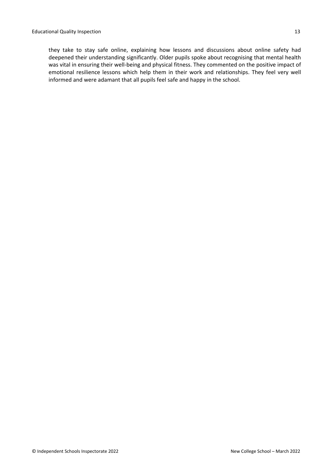they take to stay safe online, explaining how lessons and discussions about online safety had deepened their understanding significantly. Older pupils spoke about recognising that mental health was vital in ensuring their well-being and physical fitness. They commented on the positive impact of emotional resilience lessons which help them in their work and relationships. They feel very well informed and were adamant that all pupils feel safe and happy in the school.